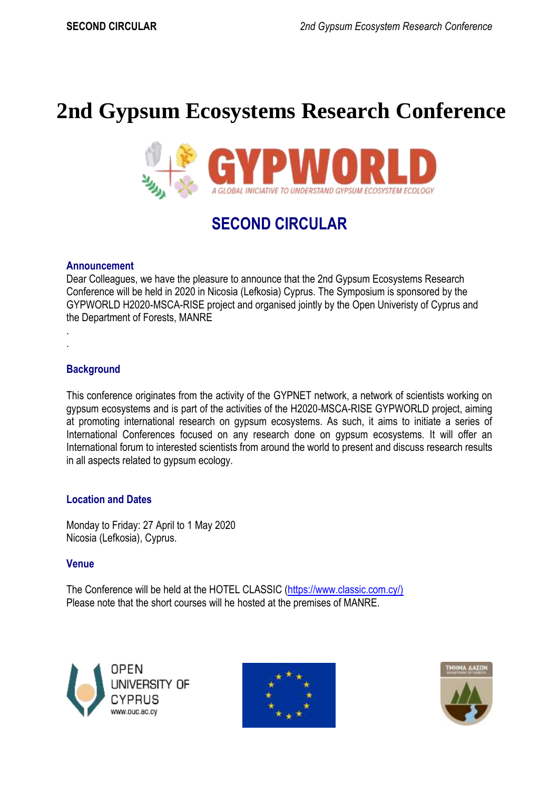# **2nd Gypsum Ecosystems Research Conference**



# **SECOND CIRCULAR**

#### **Announcement**

Dear Colleagues, we have the pleasure to announce that the 2nd Gypsum Ecosystems Research Conference will be held in 2020 in Nicosia (Lefkosia) Cyprus. The Symposium is sponsored by the GYPWORLD H2020-MSCA-RISE project and organised jointly by the Open Univeristy of Cyprus and the Department of Forests, MANRE

#### **Background**

. .

This conference originates from the activity of the GYPNET network, a network of scientists working on gypsum ecosystems and is part of the activities of the H2020-MSCA-RISE GYPWORLD project, aiming at promoting international research on gypsum ecosystems. As such, it aims to initiate a series of International Conferences focused on any research done on gypsum ecosystems. It will offer an International forum to interested scientists from around the world to present and discuss research results in all aspects related to gypsum ecology.

#### **Location and Dates**

Monday to Friday: 27 April to 1 May 2020 Nicosia (Lefkosia), Cyprus.

#### **Venue**

The Conference will be held at the HOTEL CLASSIC [\(https://www.classic.com.cy/\)](https://www.classic.com.cy/)) Please note that the short courses will he hosted at the premises of MANRE.





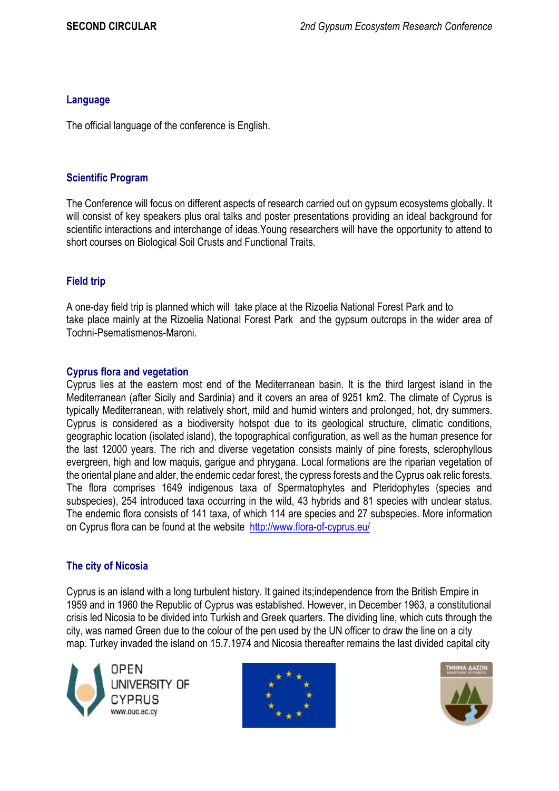#### **Language**

The official language of the conference is English.

#### **Scientific Program**

The Conference will focus on different aspects of research carried out on gypsum ecosystems globally. It will consist of key speakers plus oral talks and poster presentations providing an ideal background for scientific interactions and interchange of ideas.Young researchers will have the opportunity to attend to short courses on Biological Soil Crusts and Functional Traits.

# **Field trip**

A one-day field trip is planned which will take place at the Rizoelia National Forest Park and to take place mainly at the Rizoelia National Forest Park and the gypsum outcrops in the wider area of Tochni-Psematismenos-Maroni.

### **Cyprus flora and vegetation**

Cyprus lies at the eastern most end of the Mediterranean basin. It is the third largest island in the Mediterranean (after Sicily and Sardinia) and it covers an area of 9251 km2. The climate of Cyprus is typically Mediterranean, with relatively short, mild and humid winters and prolonged, hot, dry summers. Cyprus is considered as a biodiversity hotspot due to its geological structure, climatic conditions, geographic location (isolated island), the topographical configuration, as well as the human presence for the last 12000 years. The rich and diverse vegetation consists mainly of pine forests, sclerophyllous evergreen, high and low maquis, garigue and phrygana. Local formations are the riparian vegetation of the oriental plane and alder, the endemic cedar forest, the cypress forests and the Cyprus oak relic forests. The flora comprises 1649 indigenous taxa of Spermatophytes and Pteridophytes (species and subspecies), 254 introduced taxa occurring in the wild, 43 hybrids and 81 species with unclear status. The endemic flora consists of 141 taxa, of which 114 are species and 27 subspecies. More information on Cyprus flora can be found at the website <http://www.flora-of-cyprus.eu/>

# **The city of Nicosia**

Cyprus is an island with a long turbulent history. It gained its;independence from the British Empire in 1959 and in 1960 the Republic of Cyprus was established. However, in December 1963, a constitutional crisis led Nicosia to be divided into Turkish and Greek quarters. The dividing line, which cuts through the city, was named Green due to the colour of the pen used by the UN officer to draw the line on a city map. Turkey invaded the island on 15.7.1974 and Nicosia thereafter remains the last divided capital city





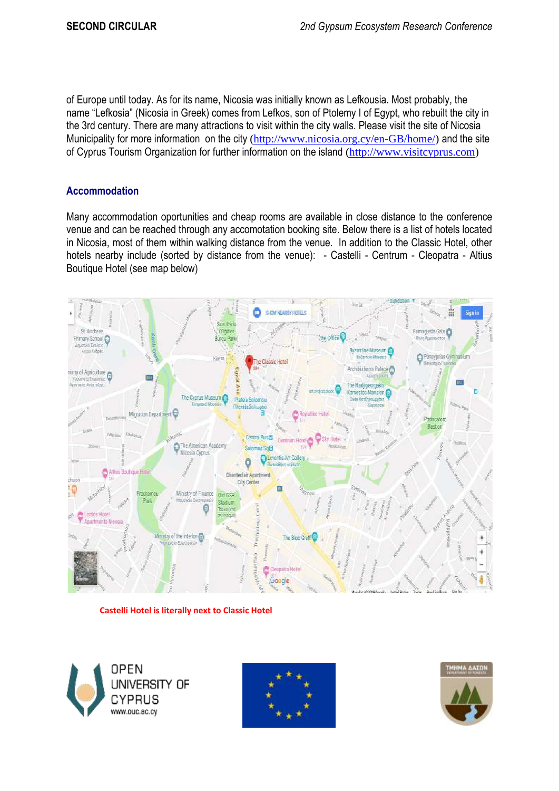of Europe until today. As for its name, Nicosia was initially known as Lefkousia. Most probably, the name "Lefkosia" (Nicosia in Greek) comes from Lefkos, son of Ptolemy I of Egypt, who rebuilt the city in the 3rd century. There are many attractions to visit within the city walls. Please visit the site of Nicosia Municipality for more information on the city [\(http://www.nicosia.org.cy/en-GB/home/\)](http://www.nicosia.org.cy/en-GB/home/) and the site of Cyprus Tourism Organization for further information on the island [\(http://www.visitcyprus.com\)](http://www.visitcyprus.com/)

# **Accommodation**

Many accommodation oportunities and cheap rooms are available in close distance to the conference venue and can be reached through any accomotation booking site. Below there is a list of hotels located in Nicosia, most of them within walking distance from the venue. In addition to the Classic Hotel, other hotels nearby include (sorted by distance from the venue): - Castelli - Centrum - Cleopatra - Altius Boutique Hotel (see map below)



**Castelli Hotel is literally next to Classic Hotel**





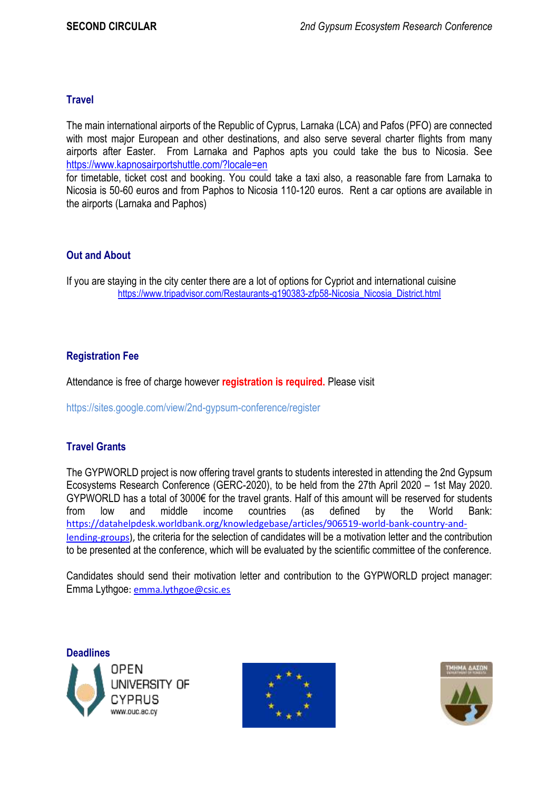# **Travel**

The main international airports of the Republic of Cyprus, Larnaka (LCA) and Pafos (PFO) are connected with most major European and other destinations, and also serve several charter flights from many airports after Easter. From Larnaka and Paphos apts you could take the bus to Nicosia. See <https://www.kapnosairportshuttle.com/?locale=en>

for timetable, ticket cost and booking. You could take a taxi also, a reasonable fare from Larnaka to Nicosia is 50-60 euros and from Paphos to Nicosia 110-120 euros. Rent a car options are available in the airports (Larnaka and Paphos)

### **Out and About**

If you are staying in the city center there are a lot of options for Cypriot and international cuisine [https://www.tripadvisor.com/Restaurants-g190383-zfp58-Nicosia\\_Nicosia\\_District.html](https://www.tripadvisor.com/Restaurants-g190383-zfp58-Nicosia_Nicosia_District.html)

### **Registration Fee**

Attendance is free of charge however **registration is required.** Please visit

https://sites.google.com/view/2nd-gypsum-conference/register

# **Travel Grants**

The GYPWORLD project is now offering travel grants to students interested in attending the 2nd Gypsum Ecosystems Research Conference (GERC-2020), to be held from the 27th April 2020 – 1st May 2020. GYPWORLD has a total of 3000€ for the travel grants. Half of this amount will be reserved for students from low and middle income countries (as defined by the World Bank: [https://datahelpdesk.worldbank.org/knowledgebase/articles/906519-world-bank-country-and](https://datahelpdesk.worldbank.org/knowledgebase/articles/906519-world-bank-country-and-lending-groups)[lending-groups\)](https://datahelpdesk.worldbank.org/knowledgebase/articles/906519-world-bank-country-and-lending-groups), the criteria for the selection of candidates will be a motivation letter and the contribution to be presented at the conference, which will be evaluated by the scientific committee of the conference.

Candidates should send their motivation letter and contribution to the GYPWORLD project manager: Emma Lythgoe[: emma.lythgoe@csic.es](mailto:emma.lythgoe@csic.es)

**Deadlines**OPEN UNIVERSITY OF www.ouc.ac.cy